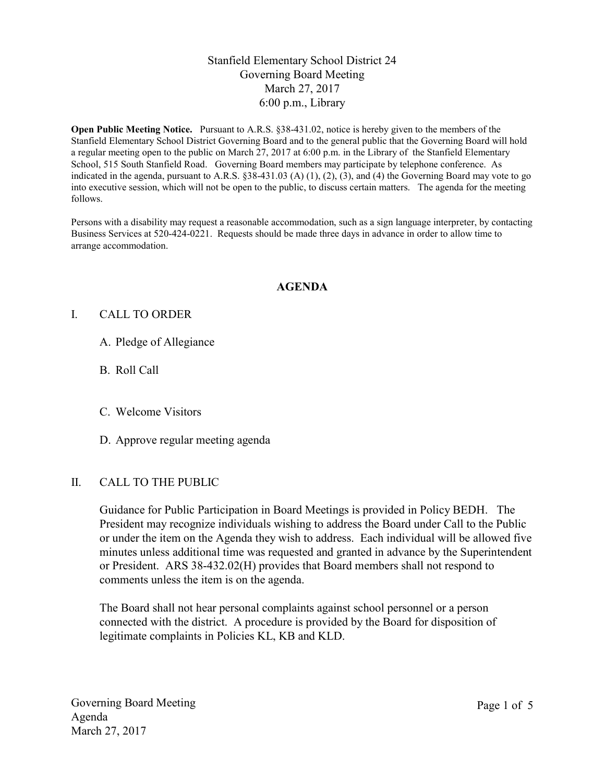# Stanfield Elementary School District 24 Governing Board Meeting March 27, 2017 6:00 p.m., Library

Open Public Meeting Notice. Pursuant to A.R.S. §38-431.02, notice is hereby given to the members of the Stanfield Elementary School District Governing Board and to the general public that the Governing Board will hold a regular meeting open to the public on March 27, 2017 at 6:00 p.m. in the Library of the Stanfield Elementary School, 515 South Stanfield Road. Governing Board members may participate by telephone conference. As indicated in the agenda, pursuant to A.R.S.  $\S 38-431.03$  (A) (1), (2), (3), and (4) the Governing Board may vote to go into executive session, which will not be open to the public, to discuss certain matters. The agenda for the meeting follows.

Persons with a disability may request a reasonable accommodation, such as a sign language interpreter, by contacting Business Services at 520-424-0221. Requests should be made three days in advance in order to allow time to arrange accommodation.

#### AGENDA

#### I. CALL TO ORDER

- A. Pledge of Allegiance
- B. Roll Call
- C. Welcome Visitors
- D. Approve regular meeting agenda

#### II. CALL TO THE PUBLIC

Guidance for Public Participation in Board Meetings is provided in Policy BEDH. The President may recognize individuals wishing to address the Board under Call to the Public or under the item on the Agenda they wish to address. Each individual will be allowed five minutes unless additional time was requested and granted in advance by the Superintendent or President. ARS 38-432.02(H) provides that Board members shall not respond to comments unless the item is on the agenda.

The Board shall not hear personal complaints against school personnel or a person connected with the district. A procedure is provided by the Board for disposition of legitimate complaints in Policies KL, KB and KLD.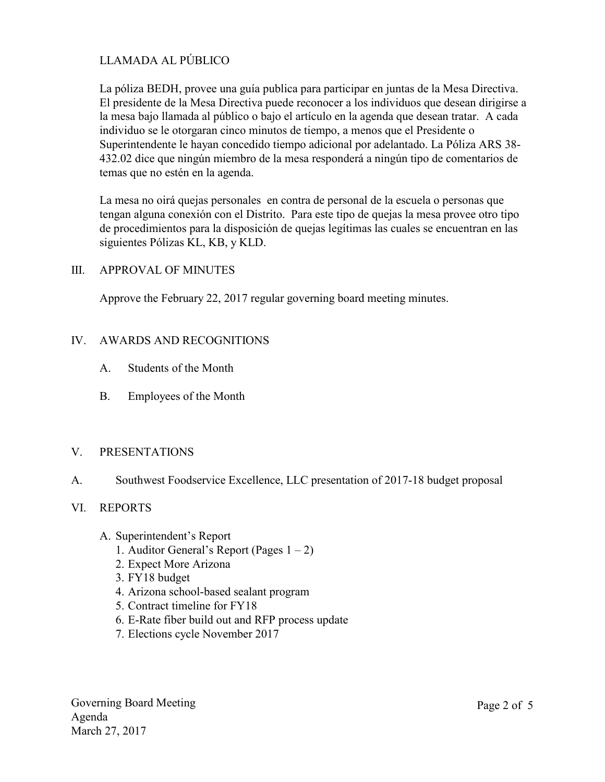# LLAMADA AL PÚBLICO

La póliza BEDH, provee una guía publica para participar en juntas de la Mesa Directiva. El presidente de la Mesa Directiva puede reconocer a los individuos que desean dirigirse a la mesa bajo llamada al público o bajo el artículo en la agenda que desean tratar. A cada individuo se le otorgaran cinco minutos de tiempo, a menos que el Presidente o Superintendente le hayan concedido tiempo adicional por adelantado. La Póliza ARS 38- 432.02 dice que ningún miembro de la mesa responderá a ningún tipo de comentarios de temas que no estén en la agenda.

La mesa no oirá quejas personales en contra de personal de la escuela o personas que tengan alguna conexión con el Distrito. Para este tipo de quejas la mesa provee otro tipo de procedimientos para la disposición de quejas legítimas las cuales se encuentran en las siguientes Pólizas KL, KB, y KLD.

## III. APPROVAL OF MINUTES

Approve the February 22, 2017 regular governing board meeting minutes.

## IV. AWARDS AND RECOGNITIONS

- A. Students of the Month
- B. Employees of the Month

#### V. PRESENTATIONS

A. Southwest Foodservice Excellence, LLC presentation of 2017-18 budget proposal

#### VI. REPORTS

- A. Superintendent's Report
	- 1. Auditor General's Report (Pages  $1 2$ )
	- 2. Expect More Arizona
	- 3. FY18 budget
	- 4. Arizona school-based sealant program
	- 5. Contract timeline for FY18
	- 6. E-Rate fiber build out and RFP process update
	- 7. Elections cycle November 2017

Governing Board Meeting Agenda March 27, 2017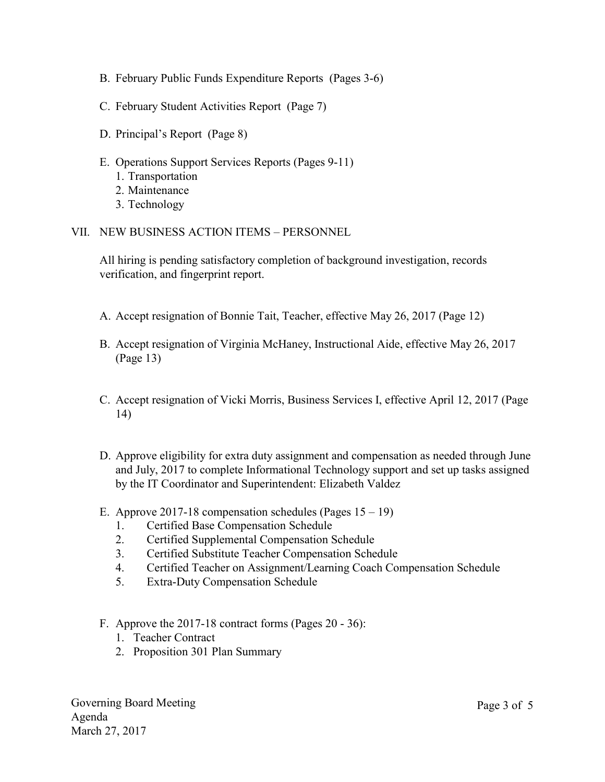- B. February Public Funds Expenditure Reports (Pages 3-6)
- C. February Student Activities Report (Page 7)
- D. Principal's Report (Page 8)
- E. Operations Support Services Reports (Pages 9-11)
	- 1. Transportation
	- 2. Maintenance
	- 3. Technology
- VII. NEW BUSINESS ACTION ITEMS PERSONNEL

All hiring is pending satisfactory completion of background investigation, records verification, and fingerprint report.

- A. Accept resignation of Bonnie Tait, Teacher, effective May 26, 2017 (Page 12)
- B. Accept resignation of Virginia McHaney, Instructional Aide, effective May 26, 2017 (Page 13)
- C. Accept resignation of Vicki Morris, Business Services I, effective April 12, 2017 (Page 14)
- D. Approve eligibility for extra duty assignment and compensation as needed through June and July, 2017 to complete Informational Technology support and set up tasks assigned by the IT Coordinator and Superintendent: Elizabeth Valdez
- E. Approve 2017-18 compensation schedules (Pages  $15 19$ )
	- 1. Certified Base Compensation Schedule
	- 2. Certified Supplemental Compensation Schedule
	- 3. Certified Substitute Teacher Compensation Schedule
	- 4. Certified Teacher on Assignment/Learning Coach Compensation Schedule
	- 5. Extra-Duty Compensation Schedule
- F. Approve the 2017-18 contract forms (Pages 20 36):
	- 1. Teacher Contract
	- 2. Proposition 301 Plan Summary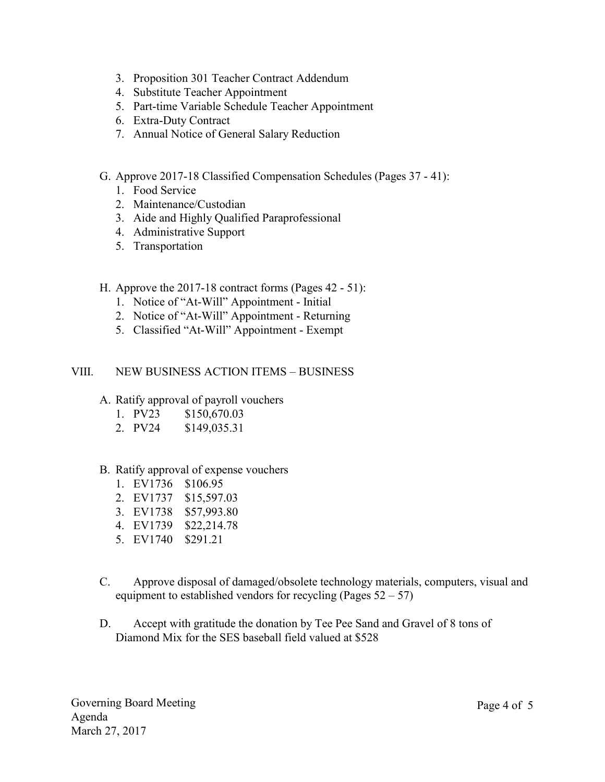- 3. Proposition 301 Teacher Contract Addendum
- 4. Substitute Teacher Appointment
- 5. Part-time Variable Schedule Teacher Appointment
- 6. Extra-Duty Contract
- 7. Annual Notice of General Salary Reduction
- G. Approve 2017-18 Classified Compensation Schedules (Pages 37 41):
	- 1. Food Service
	- 2. Maintenance/Custodian
	- 3. Aide and Highly Qualified Paraprofessional
	- 4. Administrative Support
	- 5. Transportation
- H. Approve the 2017-18 contract forms (Pages 42 51):
	- 1. Notice of "At-Will" Appointment Initial
	- 2. Notice of "At-Will" Appointment Returning
	- 5. Classified "At-Will" Appointment Exempt

## VIII. NEW BUSINESS ACTION ITEMS – BUSINESS

- A. Ratify approval of payroll vouchers
	- 1. PV23 \$150,670.03
	- 2. PV24 \$149,035.31
- B. Ratify approval of expense vouchers
	- 1. EV1736 \$106.95
	- 2. EV1737 \$15,597.03
	- 3. EV1738 \$57,993.80
	- 4. EV1739 \$22,214.78
	- 5. EV1740 \$291.21
- C. Approve disposal of damaged/obsolete technology materials, computers, visual and equipment to established vendors for recycling (Pages  $52 - 57$ )
- D. Accept with gratitude the donation by Tee Pee Sand and Gravel of 8 tons of Diamond Mix for the SES baseball field valued at \$528